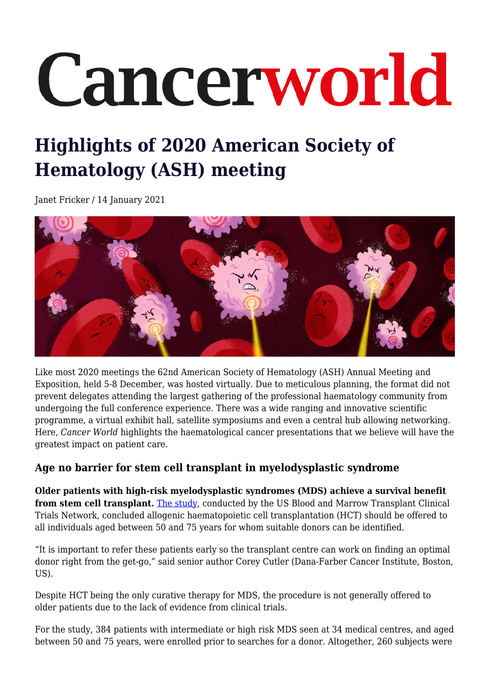# Cancerworld

# **Highlights of 2020 American Society of Hematology (ASH) meeting**

Janet Fricker / 14 January 2021



Like most 2020 meetings the 62nd American Society of Hematology (ASH) Annual Meeting and Exposition, held 5-8 December, was hosted virtually. Due to meticulous planning, the format did not prevent delegates attending the largest gathering of the professional haematology community from undergoing the full conference experience. There was a wide ranging and innovative scientific programme, a virtual exhibit hall, satellite symposiums and even a central hub allowing networking. Here, *Cancer World* highlights the haematological cancer presentations that we believe will have the greatest impact on patient care.

## **Age no barrier for stem cell transplant in myelodysplastic syndrome**

**Older patients with high-risk myelodysplastic syndromes (MDS) achieve a survival benefit from stem cell transplant.** [The study,](https://ash.confex.com/ash/2020/webprogram/Paper136828.html) conducted by the US Blood and Marrow Transplant Clinical Trials Network, concluded allogenic haematopoietic cell transplantation (HCT) should be offered to all individuals aged between 50 and 75 years for whom suitable donors can be identified.

"It is important to refer these patients early so the transplant centre can work on finding an optimal donor right from the get-go," said senior author Corey Cutler (Dana-Farber Cancer Institute, Boston, US).

Despite HCT being the only curative therapy for MDS, the procedure is not generally offered to older patients due to the lack of evidence from clinical trials.

For the study, 384 patients with intermediate or high risk MDS seen at 34 medical centres, and aged between 50 and 75 years, were enrolled prior to searches for a donor. Altogether, 260 subjects were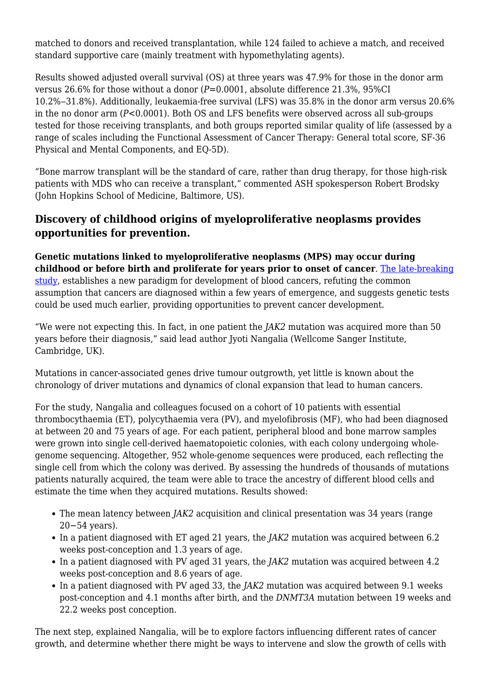matched to donors and received transplantation, while 124 failed to achieve a match, and received standard supportive care (mainly treatment with hypomethylating agents).

Results showed adjusted overall survival (OS) at three years was 47.9% for those in the donor arm versus 26.6% for those without a donor (*P*=0.0001, absolute difference 21.3%, 95%CI 10.2%‒31.8%). Additionally, leukaemia-free survival (LFS) was 35.8% in the donor arm versus 20.6% in the no donor arm (*P*<0.0001). Both OS and LFS benefits were observed across all sub-groups tested for those receiving transplants, and both groups reported similar quality of life (assessed by a range of scales including the Functional Assessment of Cancer Therapy: General total score, SF-36 Physical and Mental Components, and EQ-5D).

"Bone marrow transplant will be the standard of care, rather than drug therapy, for those high-risk patients with MDS who can receive a transplant," commented ASH spokesperson Robert Brodsky (John Hopkins School of Medicine, Baltimore, US).

### **Discovery of childhood origins of myeloproliferative neoplasms provides opportunities for prevention.**

**Genetic mutations linked to myeloproliferative neoplasms (MPS) may occur during childhood or before birth and proliferate for years prior to onset of cancer**. [The late-breaking](https://ash.confex.com/ash/2020/webprogram/Paper143813.html) [study,](https://ash.confex.com/ash/2020/webprogram/Paper143813.html) establishes a new paradigm for development of blood cancers, refuting the common assumption that cancers are diagnosed within a few years of emergence, and suggests genetic tests could be used much earlier, providing opportunities to prevent cancer development.

"We were not expecting this. In fact, in one patient the *JAK2* mutation was acquired more than 50 years before their diagnosis," said lead author Jyoti Nangalia (Wellcome Sanger Institute, Cambridge, UK).

Mutations in cancer-associated genes drive tumour outgrowth, yet little is known about the chronology of driver mutations and dynamics of clonal expansion that lead to human cancers.

For the study, Nangalia and colleagues focused on a cohort of 10 patients with essential thrombocythaemia (ET), polycythaemia vera (PV), and myelofibrosis (MF), who had been diagnosed at between 20 and 75 years of age. For each patient, peripheral blood and bone marrow samples were grown into single cell-derived haematopoietic colonies, with each colony undergoing wholegenome sequencing. Altogether, 952 whole-genome sequences were produced, each reflecting the single cell from which the colony was derived. By assessing the hundreds of thousands of mutations patients naturally acquired, the team were able to trace the ancestry of different blood cells and estimate the time when they acquired mutations. Results showed:

- The mean latency between *JAK2* acquisition and clinical presentation was 34 years (range 20−54 years).
- In a patient diagnosed with ET aged 21 years, the *JAK2* mutation was acquired between 6.2 weeks post-conception and 1.3 years of age.
- In a patient diagnosed with PV aged 31 years, the *JAK2* mutation was acquired between 4.2 weeks post-conception and 8.6 years of age.
- In a patient diagnosed with PV aged 33, the *JAK2* mutation was acquired between 9.1 weeks post-conception and 4.1 months after birth, and the *DNMT3A* mutation between 19 weeks and 22.2 weeks post conception.

The next step, explained Nangalia, will be to explore factors influencing different rates of cancer growth, and determine whether there might be ways to intervene and slow the growth of cells with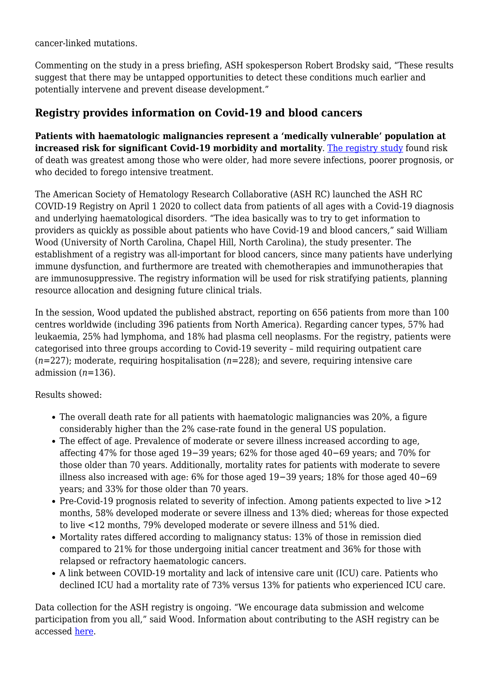cancer-linked mutations.

Commenting on the study in a press briefing, ASH spokesperson Robert Brodsky said, "These results suggest that there may be untapped opportunities to detect these conditions much earlier and potentially intervene and prevent disease development."

#### **Registry provides information on Covid-19 and blood cancers**

**Patients with haematologic malignancies represent a 'medically vulnerable' population at increased risk for significant Covid-19 morbidity and mortality**. [The registry study](https://ash.confex.com/ash/2020/webprogram/Paper141327.html) found risk of death was greatest among those who were older, had more severe infections, poorer prognosis, or who decided to forego intensive treatment.

The American Society of Hematology Research Collaborative (ASH RC) launched the ASH RC COVID-19 Registry on April 1 2020 to collect data from patients of all ages with a Covid-19 diagnosis and underlying haematological disorders. "The idea basically was to try to get information to providers as quickly as possible about patients who have Covid-19 and blood cancers," said William Wood (University of North Carolina, Chapel Hill, North Carolina), the study presenter. The establishment of a registry was all-important for blood cancers, since many patients have underlying immune dysfunction, and furthermore are treated with chemotherapies and immunotherapies that are immunosuppressive. The registry information will be used for risk stratifying patients, planning resource allocation and designing future clinical trials.

In the session, Wood updated the published abstract, reporting on 656 patients from more than 100 centres worldwide (including 396 patients from North America). Regarding cancer types, 57% had leukaemia, 25% had lymphoma, and 18% had plasma cell neoplasms. For the registry, patients were categorised into three groups according to Covid-19 severity – mild requiring outpatient care (*n*=227); moderate, requiring hospitalisation (*n*=228); and severe, requiring intensive care admission (*n*=136).

Results showed:

- The overall death rate for all patients with haematologic malignancies was 20%, a figure considerably higher than the 2% case-rate found in the general US population.
- The effect of age. Prevalence of moderate or severe illness increased according to age, affecting 47% for those aged 19−39 years; 62% for those aged 40−69 years; and 70% for those older than 70 years. Additionally, mortality rates for patients with moderate to severe illness also increased with age: 6% for those aged 19−39 years; 18% for those aged 40−69 years; and 33% for those older than 70 years.
- Pre-Covid-19 prognosis related to severity of infection. Among patients expected to live >12 months, 58% developed moderate or severe illness and 13% died; whereas for those expected to live <12 months, 79% developed moderate or severe illness and 51% died.
- Mortality rates differed according to malignancy status: 13% of those in remission died compared to 21% for those undergoing initial cancer treatment and 36% for those with relapsed or refractory haematologic cancers.
- A link between COVID-19 mortality and lack of intensive care unit (ICU) care. Patients who declined ICU had a mortality rate of 73% versus 13% for patients who experienced ICU care.

Data collection for the ASH registry is ongoing. "We encourage data submission and welcome participation from you all," said Wood. Information about contributing to the ASH registry can be accessed [here.](http://www.ashrc.org)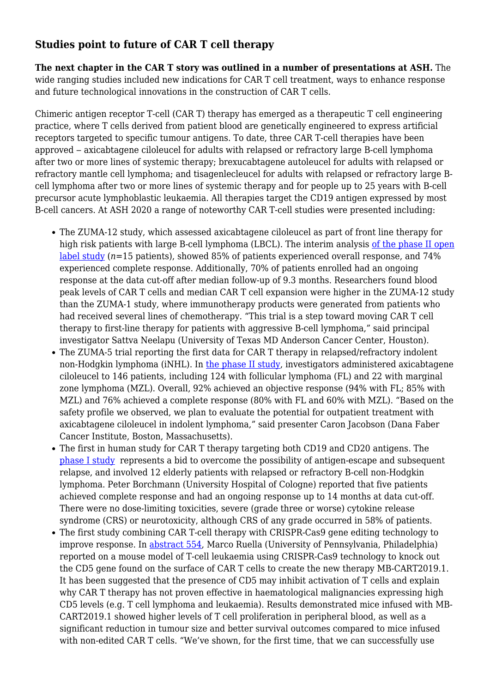#### **Studies point to future of CAR T cell therapy**

**The next chapter in the CAR T story was outlined in a number of presentations at ASH.** The wide ranging studies included new indications for CAR T cell treatment, ways to enhance response and future technological innovations in the construction of CAR T cells.

Chimeric antigen receptor T-cell (CAR T) therapy has emerged as a therapeutic T cell engineering practice, where T cells derived from patient blood are genetically engineered to express artificial receptors targeted to specific tumour antigens. To date, three CAR T-cell therapies have been approved – axicabtagene ciloleucel for adults with relapsed or refractory large B-cell lymphoma after two or more lines of systemic therapy; brexucabtagene autoleucel for adults with relapsed or refractory mantle cell lymphoma; and tisagenlecleucel for adults with relapsed or refractory large Bcell lymphoma after two or more lines of systemic therapy and for people up to 25 years with B-cell precursor acute lymphoblastic leukaemia. All therapies target the CD19 antigen expressed by most B-cell cancers. At ASH 2020 a range of noteworthy CAR T-cell studies were presented including:

- The ZUMA-12 study, which assessed axicabtagene ciloleucel as part of front line therapy for high risk patients with large B-cell lymphoma (LBCL). The interim analysis [of the phase II open](https://ash.confex.com/ash/2020/webprogram/Paper134449.html) [label study](https://ash.confex.com/ash/2020/webprogram/Paper134449.html) (*n*=15 patients), showed 85% of patients experienced overall response, and 74% experienced complete response. Additionally, 70% of patients enrolled had an ongoing response at the data cut-off after median follow-up of 9.3 months. Researchers found blood peak levels of CAR T cells and median CAR T cell expansion were higher in the ZUMA-12 study than the ZUMA-1 study, where immunotherapy products were generated from patients who had received several lines of chemotherapy. "This trial is a step toward moving CAR T cell therapy to first-line therapy for patients with aggressive B-cell lymphoma," said principal investigator Sattva Neelapu (University of Texas MD Anderson Cancer Center, Houston).
- The ZUMA-5 trial reporting the first data for CAR T therapy in relapsed/refractory indolent non-Hodgkin lymphoma (iNHL). In [the phase II study,](https://ash.confex.com/ash/2020/webprogram/Paper136834.html) investigators administered axicabtagene ciloleucel to 146 patients, including 124 with follicular lymphoma (FL) and 22 with marginal zone lymphoma (MZL). Overall, 92% achieved an objective response (94% with FL; 85% with MZL) and 76% achieved a complete response (80% with FL and 60% with MZL). "Based on the safety profile we observed, we plan to evaluate the potential for outpatient treatment with axicabtagene ciloleucel in indolent lymphoma," said presenter Caron Jacobson (Dana Faber Cancer Institute, Boston, Massachusetts).
- The first in human study for CAR T therapy targeting both CD19 and CD20 antigens. The [phase I study](https://ash.confex.com/ash/2020/webprogram/Paper136067.html) represents a bid to overcome the possibility of antigen-escape and subsequent relapse, and involved 12 elderly patients with relapsed or refractory B-cell non-Hodgkin lymphoma. Peter Borchmann (University Hospital of Cologne) reported that five patients achieved complete response and had an ongoing response up to 14 months at data cut-off. There were no dose-limiting toxicities, severe (grade three or worse) cytokine release syndrome (CRS) or neurotoxicity, although CRS of any grade occurred in 58% of patients.
- The first study combining CAR T-cell therapy with CRISPR-Cas9 gene editing technology to improve response. In [abstract 554](https://ash.confex.com/ash/2020/webprogram/Paper136860.html), Marco Ruella (University of Pennsylvania, Philadelphia) reported on a mouse model of T-cell leukaemia using CRISPR-Cas9 technology to knock out the CD5 gene found on the surface of CAR T cells to create the new therapy MB-CART2019.1. It has been suggested that the presence of CD5 may inhibit activation of T cells and explain why CAR T therapy has not proven effective in haematological malignancies expressing high CD5 levels (e.g. T cell lymphoma and leukaemia). Results demonstrated mice infused with MB-CART2019.1 showed higher levels of T cell proliferation in peripheral blood, as well as a significant reduction in tumour size and better survival outcomes compared to mice infused with non-edited CAR T cells. "We've shown, for the first time, that we can successfully use